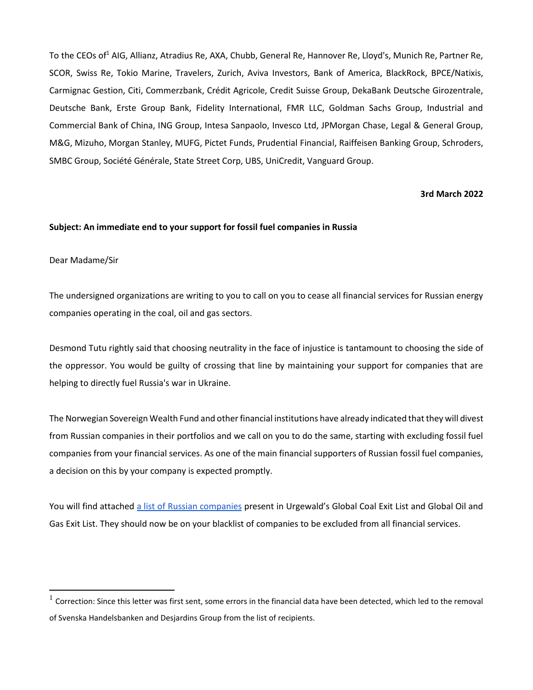To the CEOs of<sup>1</sup> AIG, Allianz, Atradius Re, AXA, Chubb, General Re, Hannover Re, Lloyd's, Munich Re, Partner Re, SCOR, Swiss Re, Tokio Marine, Travelers, Zurich, Aviva Investors, Bank of America, BlackRock, BPCE/Natixis, Carmignac Gestion, Citi, Commerzbank, Crédit Agricole, Credit Suisse Group, DekaBank Deutsche Girozentrale, Deutsche Bank, Erste Group Bank, Fidelity International, FMR LLC, Goldman Sachs Group, Industrial and Commercial Bank of China, ING Group, Intesa Sanpaolo, Invesco Ltd, JPMorgan Chase, Legal & General Group, M&G, Mizuho, Morgan Stanley, MUFG, Pictet Funds, Prudential Financial, Raiffeisen Banking Group, Schroders, SMBC Group, Société Générale, State Street Corp, UBS, UniCredit, Vanguard Group.

#### **3rd March 2022**

#### **Subject: An immediate end to your support for fossil fuel companies in Russia**

#### Dear Madame/Sir

The undersigned organizations are writing to you to call on you to cease all financial services for Russian energy companies operating in the coal, oil and gas sectors.

Desmond Tutu rightly said that choosing neutrality in the face of injustice is tantamount to choosing the side of the oppressor. You would be guilty of crossing that line by maintaining your support for companies that are helping to directly fuel Russia's war in Ukraine.

The Norwegian Sovereign Wealth Fund and other financial institutions have already indicated that they will divest from Russian companies in their portfolios and we call on you to do the same, starting with excluding fossil fuel companies from your financial services. As one of the main financial supporters of Russian fossil fuel companies, a decision on this by your company is expected promptly.

You will find attached [a list of Russian companies](https://reclaimfinance.org/site/wp-content/uploads/2022/03/RussianFossilFuelExclusionList_March2022.pdf) present in Urgewald's Global Coal Exit List and Global Oil and Gas Exit List. They should now be on your blacklist of companies to be excluded from all financial services.

 $^1$  Correction: Since this letter was first sent, some errors in the financial data have been detected, which led to the removal of Svenska Handelsbanken and Desjardins Group from the list of recipients.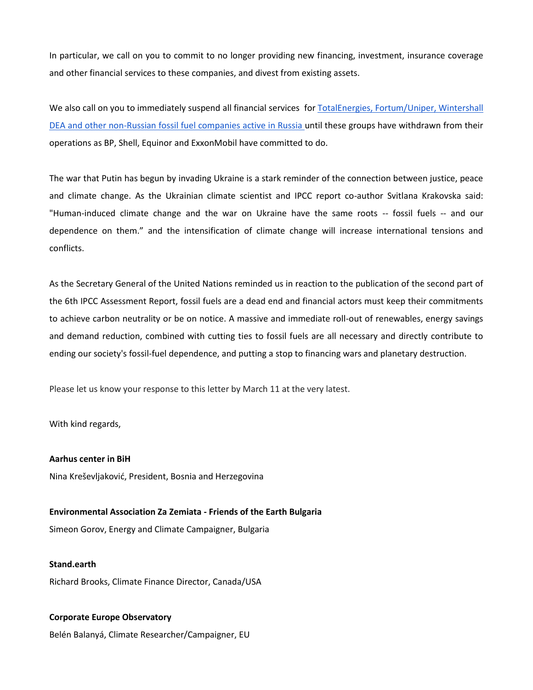In particular, we call on you to commit to no longer providing new financing, investment, insurance coverage and other financial services to these companies, and divest from existing assets.

We also call on you to immediately suspend all financial services for TotalEnergies, Fortum/Uniper, Wintershall [DEA and other non-Russian fossil fuel companies active in Russia u](https://reclaimfinance.org/site/wp-content/uploads/2022/03/RussianFossilFuelExclusionList_March2022.pdf)ntil these groups have withdrawn from their operations as BP, Shell, Equinor and ExxonMobil have committed to do.

The war that Putin has begun by invading Ukraine is a stark reminder of the connection between justice, peace and climate change. As the Ukrainian climate scientist and IPCC report co-author Svitlana Krakovska said: "Human-induced climate change and the war on Ukraine have the same roots -- fossil fuels -- and our dependence on them." and the intensification of climate change will increase international tensions and conflicts.

As the Secretary General of the United Nations reminded us in reaction to the publication of the second part of the 6th IPCC Assessment Report, fossil fuels are a dead end and financial actors must keep their commitments to achieve carbon neutrality or be on notice. A massive and immediate roll-out of renewables, energy savings and demand reduction, combined with cutting ties to fossil fuels are all necessary and directly contribute to ending our society's fossil-fuel dependence, and putting a stop to financing wars and planetary destruction.

Please let us know your response to this letter by March 11 at the very latest.

With kind regards,

**Aarhus center in BiH** Nina Kreševljaković, President, Bosnia and Herzegovina

**Environmental Association Za Zemiata - Friends of the Earth Bulgaria** Simeon Gorov, Energy and Climate Campaigner, Bulgaria

**Stand.earth** Richard Brooks, Climate Finance Director, Canada/USA

#### **Corporate Europe Observatory**

Belén Balanyá, Climate Researcher/Campaigner, EU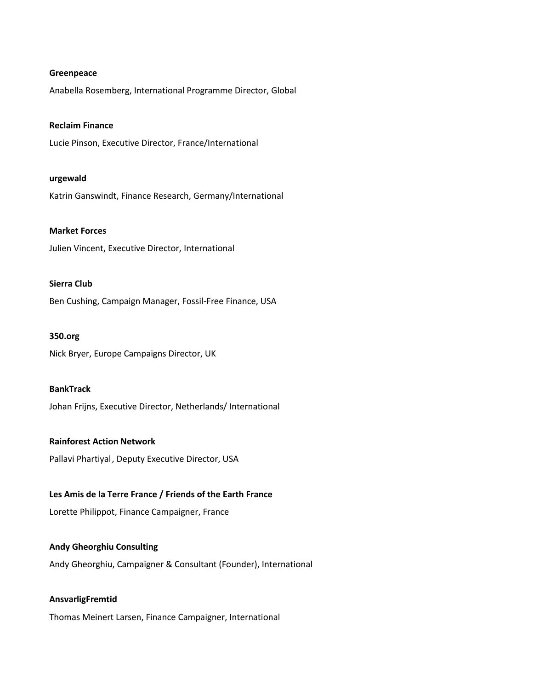#### **Greenpeace**

Anabella Rosemberg, International Programme Director, Global

#### **Reclaim Finance**

Lucie Pinson, Executive Director, France/International

#### **urgewald**

Katrin Ganswindt, Finance Research, Germany/International

#### **Market Forces**

Julien Vincent, Executive Director, International

#### **Sierra Club**

Ben Cushing, Campaign Manager, Fossil-Free Finance, USA

#### **350.org**

Nick Bryer, Europe Campaigns Director, UK

#### **BankTrack**

Johan Frijns, Executive Director, Netherlands/ International

#### **Rainforest Action Network**

Pallavi Phartiyal, Deputy Executive Director, USA

#### **Les Amis de la Terre France / Friends of the Earth France**

Lorette Philippot, Finance Campaigner, France

#### **Andy Gheorghiu Consulting**

Andy Gheorghiu, Campaigner & Consultant (Founder), International

# **AnsvarligFremtid**

Thomas Meinert Larsen, Finance Campaigner, International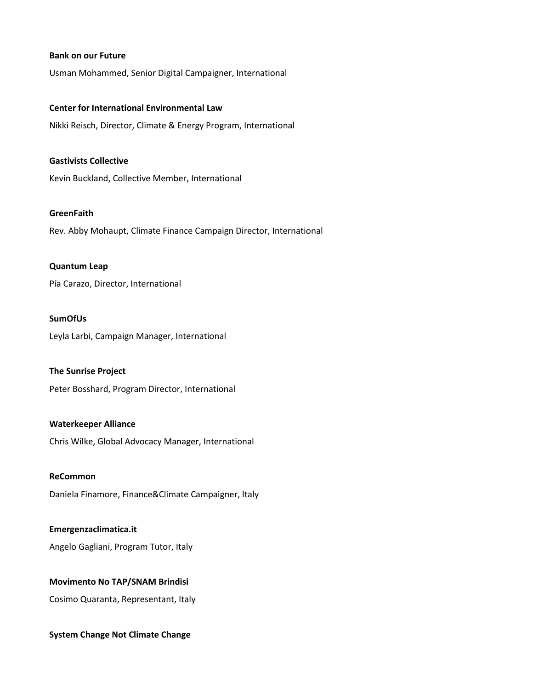#### **Bank on our Future**

Usman Mohammed, Senior Digital Campaigner, International

#### **Center for International Environmental Law**

Nikki Reisch, Director, Climate & Energy Program, International

#### **Gastivists Collective**

Kevin Buckland, Collective Member, International

## **GreenFaith**

Rev. Abby Mohaupt, Climate Finance Campaign Director, International

#### **Quantum Leap**

Pía Carazo, Director, International

## **SumOfUs**

Leyla Larbi, Campaign Manager, International

#### **The Sunrise Project**

Peter Bosshard, Program Director, International

#### **Waterkeeper Alliance**

Chris Wilke, Global Advocacy Manager, International

#### **ReCommon**

Daniela Finamore, Finance&Climate Campaigner, Italy

#### **Emergenzaclimatica.it**

Angelo Gagliani, Program Tutor, Italy

#### **Movimento No TAP/SNAM Brindisi**

Cosimo Quaranta, Representant, Italy

#### **System Change Not Climate Change**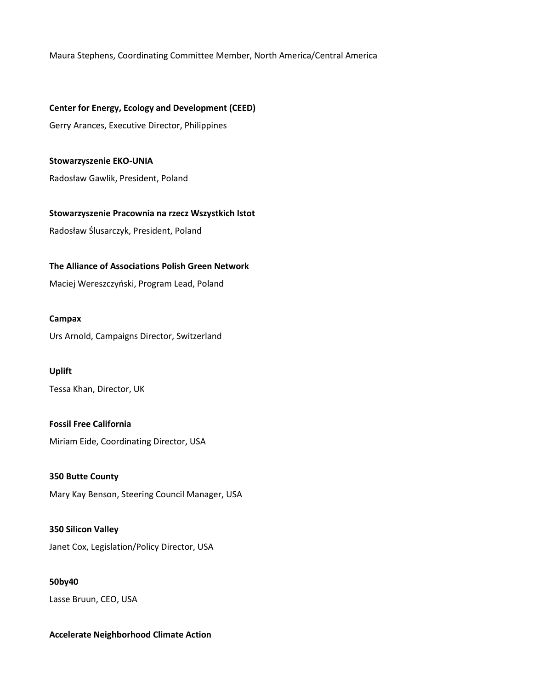Maura Stephens, Coordinating Committee Member, North America/Central America

**Center for Energy, Ecology and Development (CEED)** Gerry Arances, Executive Director, Philippines

**Stowarzyszenie EKO-UNIA** Radosław Gawlik, President, Poland

**Stowarzyszenie Pracownia na rzecz Wszystkich Istot** Radosław Ślusarczyk, President, Poland

**The Alliance of Associations Polish Green Network**

Maciej Wereszczyński, Program Lead, Poland

### **Campax**

Urs Arnold, Campaigns Director, Switzerland

# **Uplift**

Tessa Khan, Director, UK

**Fossil Free California** Miriam Eide, Coordinating Director, USA

**350 Butte County** Mary Kay Benson, Steering Council Manager, USA

**350 Silicon Valley** Janet Cox, Legislation/Policy Director, USA

**50by40** Lasse Bruun, CEO, USA

# **Accelerate Neighborhood Climate Action**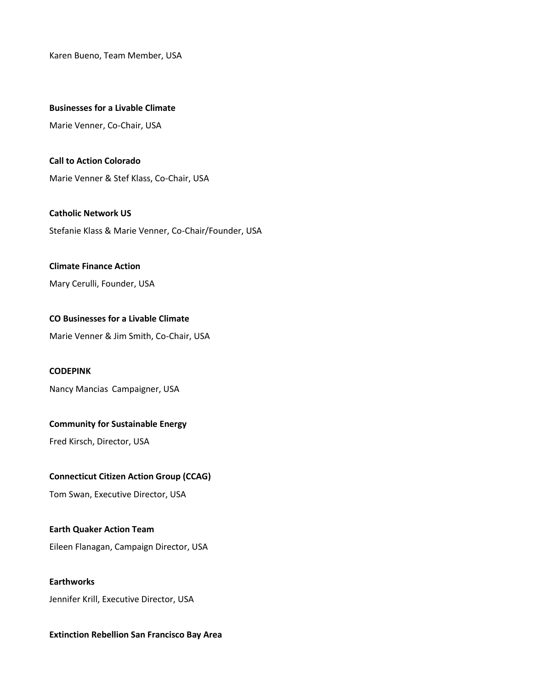Karen Bueno, Team Member, USA

#### **Businesses for a Livable Climate**

Marie Venner, Co-Chair, USA

**Call to Action Colorado** Marie Venner & Stef Klass, Co-Chair, USA

**Catholic Network US** Stefanie Klass & Marie Venner, Co-Chair/Founder, USA

#### **Climate Finance Action**

Mary Cerulli, Founder, USA

# **CO Businesses for a Livable Climate**

Marie Venner & Jim Smith, Co-Chair, USA

#### **CODEPINK**

Nancy Mancias Campaigner, USA

#### **Community for Sustainable Energy**

Fred Kirsch, Director, USA

#### **Connecticut Citizen Action Group (CCAG)**

Tom Swan, Executive Director, USA

#### **Earth Quaker Action Team**

Eileen Flanagan, Campaign Director, USA

## **Earthworks**

Jennifer Krill, Executive Director, USA

#### **Extinction Rebellion San Francisco Bay Area**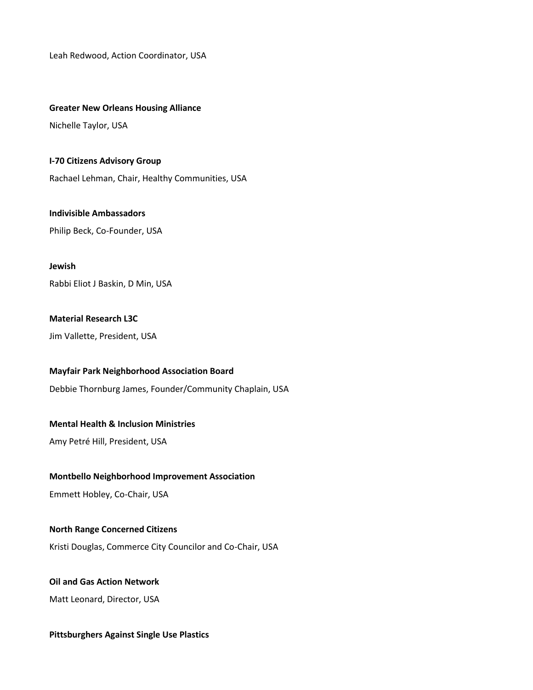Leah Redwood, Action Coordinator, USA

#### **Greater New Orleans Housing Alliance**

Nichelle Taylor, USA

**I-70 Citizens Advisory Group** Rachael Lehman, Chair, Healthy Communities, USA

**Indivisible Ambassadors** Philip Beck, Co-Founder, USA

**Jewish** Rabbi Eliot J Baskin, D Min, USA

# **Material Research L3C**

Jim Vallette, President, USA

# **Mayfair Park Neighborhood Association Board**

Debbie Thornburg James, Founder/Community Chaplain, USA

# **Mental Health & Inclusion Ministries**

Amy Petré Hill, President, USA

# **Montbello Neighborhood Improvement Association**

Emmett Hobley, Co-Chair, USA

# **North Range Concerned Citizens**

Kristi Douglas, Commerce City Councilor and Co-Chair, USA

# **Oil and Gas Action Network**

Matt Leonard, Director, USA

# **Pittsburghers Against Single Use Plastics**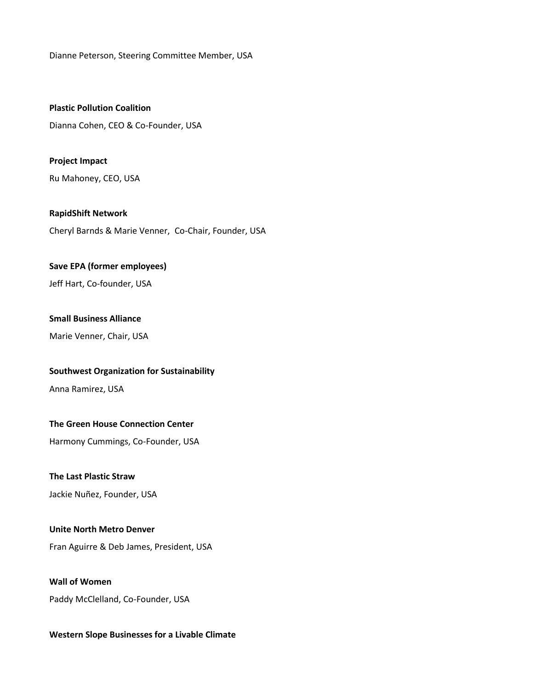Dianne Peterson, Steering Committee Member, USA

**Plastic Pollution Coalition** Dianna Cohen, CEO & Co-Founder, USA

**Project Impact** Ru Mahoney, CEO, USA

**RapidShift Network** Cheryl Barnds & Marie Venner, Co-Chair, Founder, USA

### **Save EPA (former employees)**

Jeff Hart, Co-founder, USA

# **Small Business Alliance**

Marie Venner, Chair, USA

# **Southwest Organization for Sustainability**

Anna Ramirez, USA

# **The Green House Connection Center**

Harmony Cummings, Co-Founder, USA

# **The Last Plastic Straw**

Jackie Nuñez, Founder, USA

# **Unite North Metro Denver**

Fran Aguirre & Deb James, President, USA

# **Wall of Women** Paddy McClelland, Co-Founder, USA

# **Western Slope Businesses for a Livable Climate**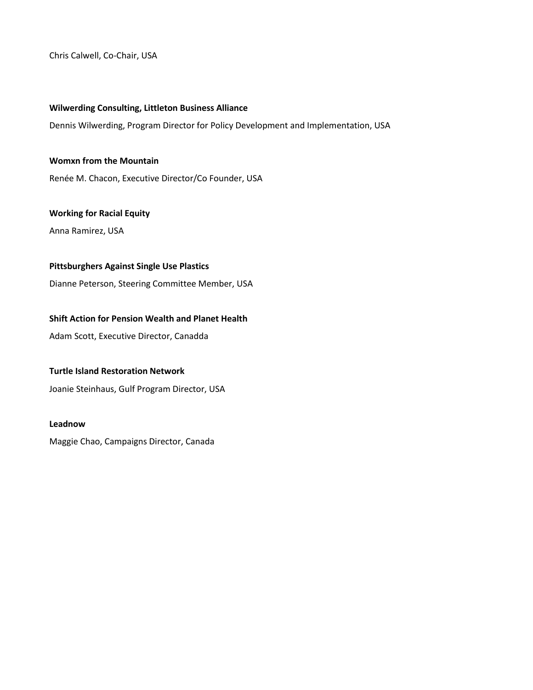Chris Calwell, Co-Chair, USA

### **Wilwerding Consulting, Littleton Business Alliance**

Dennis Wilwerding, Program Director for Policy Development and Implementation, USA

## **Womxn from the Mountain**

Renée M. Chacon, Executive Director/Co Founder, USA

# **Working for Racial Equity**

Anna Ramirez, USA

# **Pittsburghers Against Single Use Plastics**

Dianne Peterson, Steering Committee Member, USA

# **Shift Action for Pension Wealth and Planet Health**

Adam Scott, Executive Director, Canadda

# **Turtle Island Restoration Network**

Joanie Steinhaus, Gulf Program Director, USA

#### **Leadnow**

Maggie Chao, Campaigns Director, Canada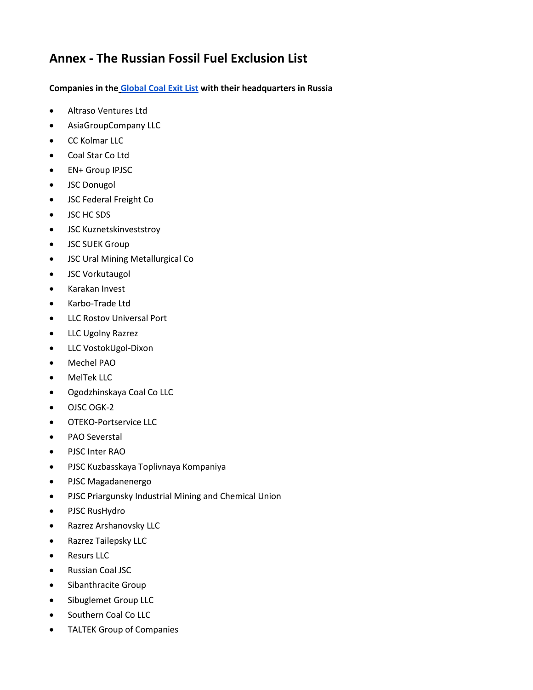# **Annex - The Russian Fossil Fuel Exclusion List**

# **Companies in the [Global Coal Exit List](https://www.coalexit.org/) with their headquarters in Russia**

- Altraso Ventures Ltd
- AsiaGroupCompany LLC
- CC Kolmar LLC
- Coal Star Co Ltd
- EN+ Group IPJSC
- JSC Donugol
- JSC Federal Freight Co
- JSC HC SDS
- JSC Kuznetskinveststroy
- JSC SUEK Group
- JSC Ural Mining Metallurgical Co
- JSC Vorkutaugol
- Karakan Invest
- Karbo-Trade Ltd
- LLC Rostov Universal Port
- LLC Ugolny Razrez
- LLC VostokUgol-Dixon
- Mechel PAO
- MelTek LLC
- Ogodzhinskaya Coal Co LLC
- OJSC OGK-2
- OTEKO-Portservice LLC
- PAO Severstal
- PJSC Inter RAO
- PJSC Kuzbasskaya Toplivnaya Kompaniya
- PJSC Magadanenergo
- PJSC Priargunsky Industrial Mining and Chemical Union
- PJSC RusHydro
- Razrez Arshanovsky LLC
- Razrez Tailepsky LLC
- Resurs LLC
- Russian Coal JSC
- Sibanthracite Group
- Sibuglemet Group LLC
- Southern Coal Co LLC
- TALTEK Group of Companies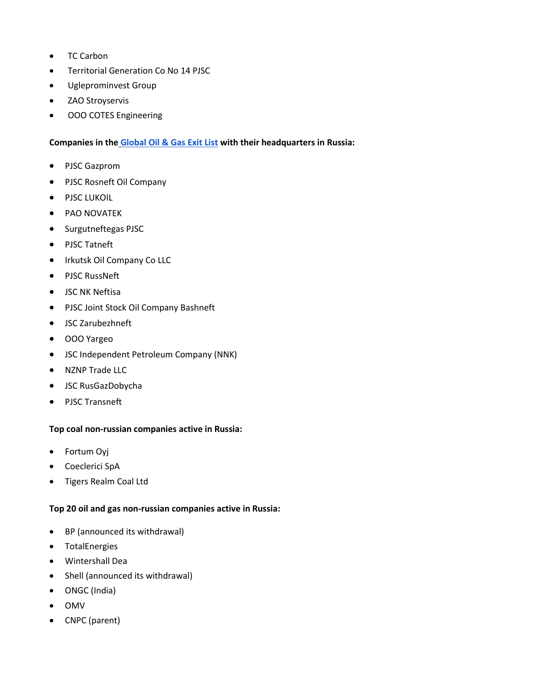- TC Carbon
- Territorial Generation Co No 14 PJSC
- Ugleprominvest Group
- ZAO Stroyservis
- ООО COTES Engineering

# **Companies in the [Global Oil & Gas Exit List](https://gogel.org/) with their headquarters in Russia:**

- PJSC Gazprom
- PJSC Rosneft Oil Company
- PJSC LUKOIL
- PAO NOVATEK
- Surgutneftegas PJSC
- PJSC Tatneft
- Irkutsk Oil Company Co LLC
- PJSC RussNeft
- JSC NK Neftisa
- PJSC Joint Stock Oil Company Bashneft
- JSC Zarubezhneft
- OOO Yargeo
- JSC Independent Petroleum Company (NNK)
- NZNP Trade LLC
- JSC RusGazDobycha
- PJSC Transneft

# **Top coal non-russian companies active in Russia:**

- Fortum Oyj
- Coeclerici SpA
- Tigers Realm Coal Ltd

# **Top 20 oil and gas non-russian companies active in Russia:**

- BP (announced its withdrawal)
- TotalEnergies
- Wintershall Dea
- Shell (announced its withdrawal)
- ONGC (India)
- OMV
- CNPC (parent)